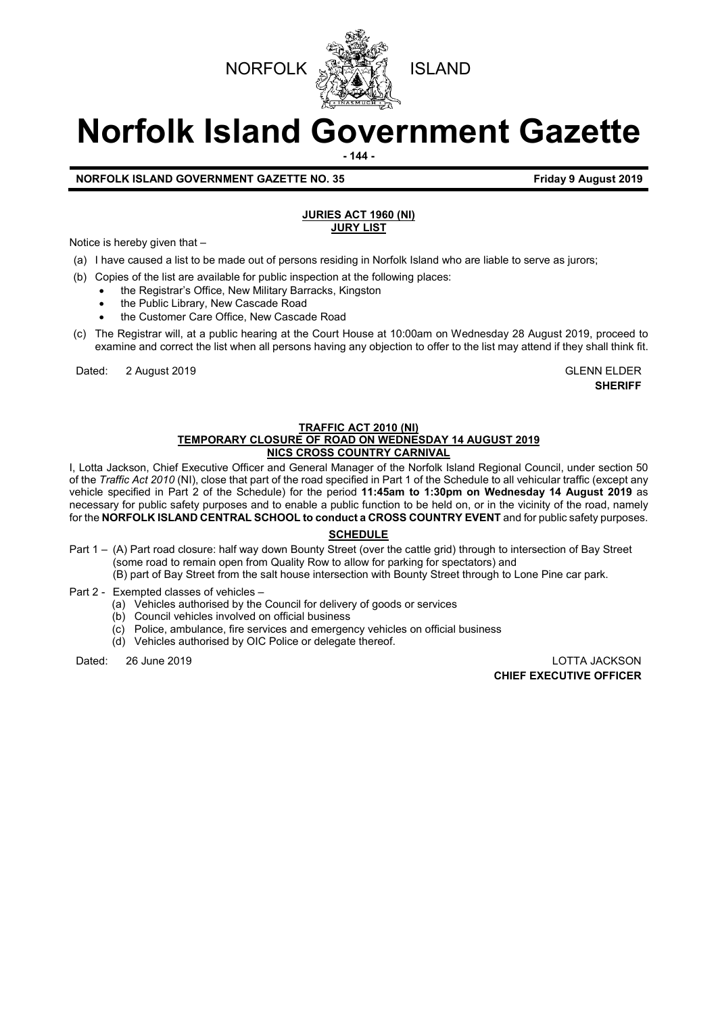



# **Norfolk Island Government Gazette**

**- 144 -**

# **NORFOLK ISLAND GOVERNMENT GAZETTE NO. 35 Friday 9 August 2019**

#### **JURIES ACT 1960 (NI) JURY LIST**

Notice is hereby given that –

- (a) I have caused a list to be made out of persons residing in Norfolk Island who are liable to serve as jurors;
- (b) Copies of the list are available for public inspection at the following places:
	- the Registrar's Office, New Military Barracks, Kingston
	- the Public Library, New Cascade Road
	- the Customer Care Office, New Cascade Road
- (c) The Registrar will, at a public hearing at the Court House at 10:00am on Wednesday 28 August 2019, proceed to examine and correct the list when all persons having any objection to offer to the list may attend if they shall think fit.

Dated: 2 August 2019 GLENN ELDER

**SHERIFF**

#### **TRAFFIC ACT 2010 (NI) TEMPORARY CLOSURE OF ROAD ON WEDNESDAY 14 AUGUST 2019 NICS CROSS COUNTRY CARNIVAL**

I, Lotta Jackson, Chief Executive Officer and General Manager of the Norfolk Island Regional Council, under section 50 of the *Traffic Act 2010* (NI), close that part of the road specified in Part 1 of the Schedule to all vehicular traffic (except any vehicle specified in Part 2 of the Schedule) for the period **11:45am to 1:30pm on Wednesday 14 August 2019** as necessary for public safety purposes and to enable a public function to be held on, or in the vicinity of the road, namely for the **NORFOLK ISLAND CENTRAL SCHOOL to conduct a CROSS COUNTRY EVENT** and for public safety purposes.

# **SCHEDULE**

- Part 1 (A) Part road closure: half way down Bounty Street (over the cattle grid) through to intersection of Bay Street (some road to remain open from Quality Row to allow for parking for spectators) and (B) part of Bay Street from the salt house intersection with Bounty Street through to Lone Pine car park.
- Part 2 Exempted classes of vehicles
	- (a) Vehicles authorised by the Council for delivery of goods or services
	- (b) Council vehicles involved on official business
	- (c) Police, ambulance, fire services and emergency vehicles on official business
	- (d) Vehicles authorised by OIC Police or delegate thereof.

Dated: 26 June 2019 LOTTA JACKSON **CHIEF EXECUTIVE OFFICER**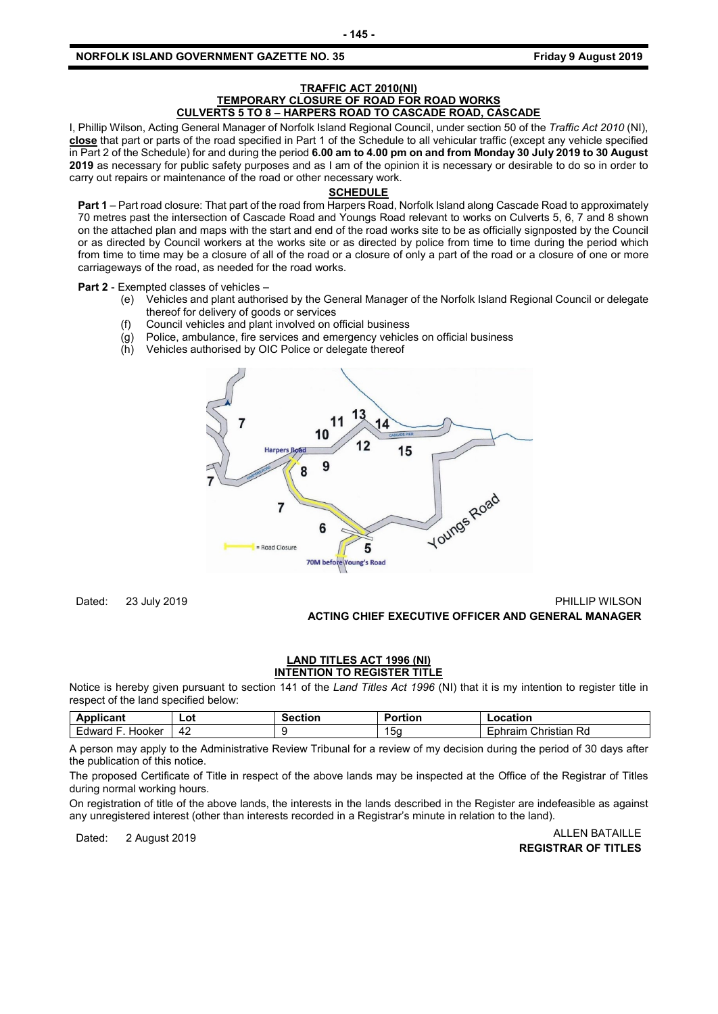#### **TRAFFIC ACT 2010(NI) TEMPORARY CLOSURE OF ROAD FOR ROAD WORKS CULVERTS 5 TO 8 – HARPERS ROAD TO CASCADE ROAD, CASCADE**

I, Phillip Wilson, Acting General Manager of Norfolk Island Regional Council, under section 50 of the *Traffic Act 2010* (NI), **close** that part or parts of the road specified in Part 1 of the Schedule to all vehicular traffic (except any vehicle specified in Part 2 of the Schedule) for and during the period **6.00 am to 4.00 pm on and from Monday 30 July 2019 to 30 August 2019** as necessary for public safety purposes and as I am of the opinion it is necessary or desirable to do so in order to carry out repairs or maintenance of the road or other necessary work.

#### **SCHEDULE**

**Part 1** – Part road closure: That part of the road from Harpers Road, Norfolk Island along Cascade Road to approximately 70 metres past the intersection of Cascade Road and Youngs Road relevant to works on Culverts 5, 6, 7 and 8 shown on the attached plan and maps with the start and end of the road works site to be as officially signposted by the Council or as directed by Council workers at the works site or as directed by police from time to time during the period which from time to time may be a closure of all of the road or a closure of only a part of the road or a closure of one or more carriageways of the road, as needed for the road works.

**Part 2** - Exempted classes of vehicles –

- (e) Vehicles and plant authorised by the General Manager of the Norfolk Island Regional Council or delegate thereof for delivery of goods or services
- (f) Council vehicles and plant involved on official business
- (g) Police, ambulance, fire services and emergency vehicles on official business
- (h) Vehicles authorised by OIC Police or delegate thereof



Dated: 23 July 2019 **PHILLIP WILSON ACTING CHIEF EXECUTIVE OFFICER AND GENERAL MANAGER**

#### **LAND TITLES ACT 1996 (NI) INTENTION TO REGISTER TITLE**

Notice is hereby given pursuant to section 141 of the *Land Titles Act 1996* (NI) that it is my intention to register title in respect of the land specified below:

| van.                   | Lot | ection | $\sim$ $\sim$<br>Portion | ocation                                      |
|------------------------|-----|--------|--------------------------|----------------------------------------------|
| <b>Hooker</b><br>dward | 42  |        | ЮC                       | -<br>Christian<br>Rd.<br>raim<br>7 I J<br>-~ |

A person may apply to the Administrative Review Tribunal for a review of my decision during the period of 30 days after the publication of this notice.

The proposed Certificate of Title in respect of the above lands may be inspected at the Office of the Registrar of Titles during normal working hours.

On registration of title of the above lands, the interests in the lands described in the Register are indefeasible as against any unregistered interest (other than interests recorded in a Registrar's minute in relation to the land).

Dated: 2 August 2019 **ALLEN BATAILLE REGISTRAR OF TITLES**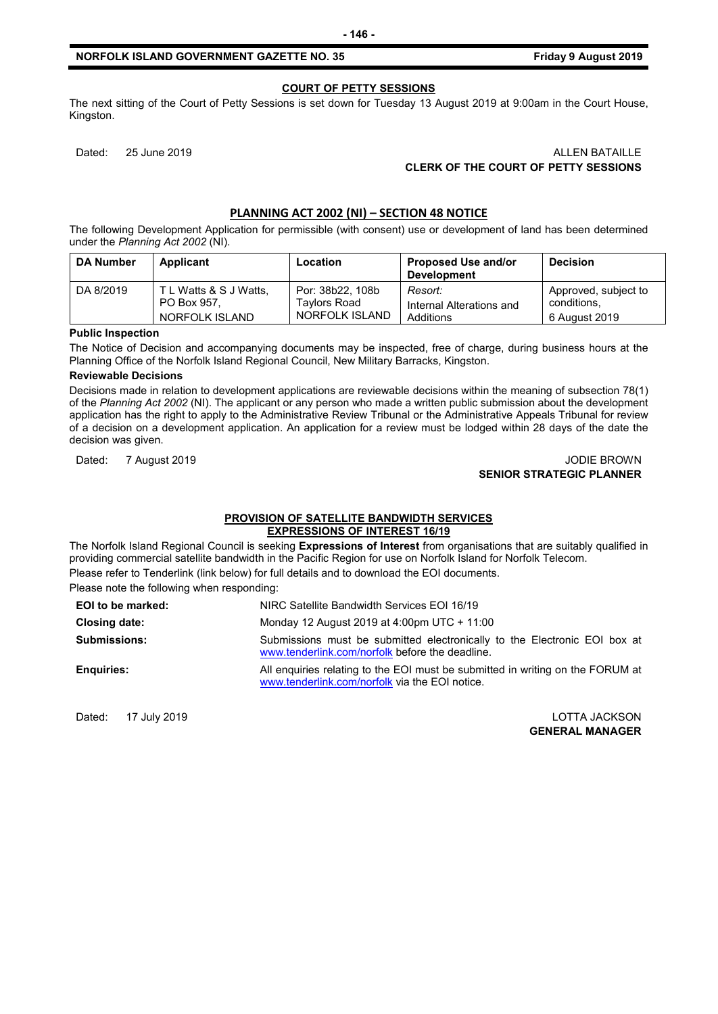#### **COURT OF PETTY SESSIONS**

The next sitting of the Court of Petty Sessions is set down for Tuesday 13 August 2019 at 9:00am in the Court House, Kingston.

# Dated: 25 June 2019 ALLEN BATAILLE **CLERK OF THE COURT OF PETTY SESSIONS**

# **PLANNING ACT 2002 (NI) – SECTION 48 NOTICE**

The following Development Application for permissible (with consent) use or development of land has been determined under the *Planning Act 2002* (NI).

| <b>DA Number</b> | Applicant              | Location         | <b>Proposed Use and/or</b><br><b>Development</b> | <b>Decision</b>      |
|------------------|------------------------|------------------|--------------------------------------------------|----------------------|
| DA 8/2019        | T L Watts & S J Watts, | Por: 38b22, 108b | Resort:                                          | Approved, subject to |
|                  | PO Box 957.            | Tavlors Road     | Internal Alterations and                         | conditions.          |
|                  | NORFOLK ISLAND         | NORFOLK ISLAND   | Additions                                        | 6 August 2019        |

#### **Public Inspection**

The Notice of Decision and accompanying documents may be inspected, free of charge, during business hours at the Planning Office of the Norfolk Island Regional Council, New Military Barracks, Kingston.

#### **Reviewable Decisions**

Decisions made in relation to development applications are reviewable decisions within the meaning of subsection 78(1) of the *Planning Act 2002* (NI). The applicant or any person who made a written public submission about the development application has the right to apply to the Administrative Review Tribunal or the Administrative Appeals Tribunal for review of a decision on a development application. An application for a review must be lodged within 28 days of the date the decision was given.

#### Dated: 7 August 2019 **JODIE BROWN SENIOR STRATEGIC PLANNER**

#### **PROVISION OF SATELLITE BANDWIDTH SERVICES EXPRESSIONS OF INTEREST 16/19**

The Norfolk Island Regional Council is seeking **Expressions of Interest** from organisations that are suitably qualified in providing commercial satellite bandwidth in the Pacific Region for use on Norfolk Island for Norfolk Telecom. Please refer to Tenderlink (link below) for full details and to download the EOI documents.

Please note the following when responding:

| EOI to be marked:   | NIRC Satellite Bandwidth Services EOI 16/19                                                                                      |
|---------------------|----------------------------------------------------------------------------------------------------------------------------------|
| Closing date:       | Monday 12 August 2019 at 4:00pm UTC + 11:00                                                                                      |
| <b>Submissions:</b> | Submissions must be submitted electronically to the Electronic EOI box at<br>www.tenderlink.com/norfolk before the deadline.     |
| <b>Enguiries:</b>   | All enquiries relating to the EOI must be submitted in writing on the FORUM at<br>www.tenderlink.com/norfolk via the EOI notice. |

Dated: 17 July 2019 LOTTA JACKSON

**GENERAL MANAGER**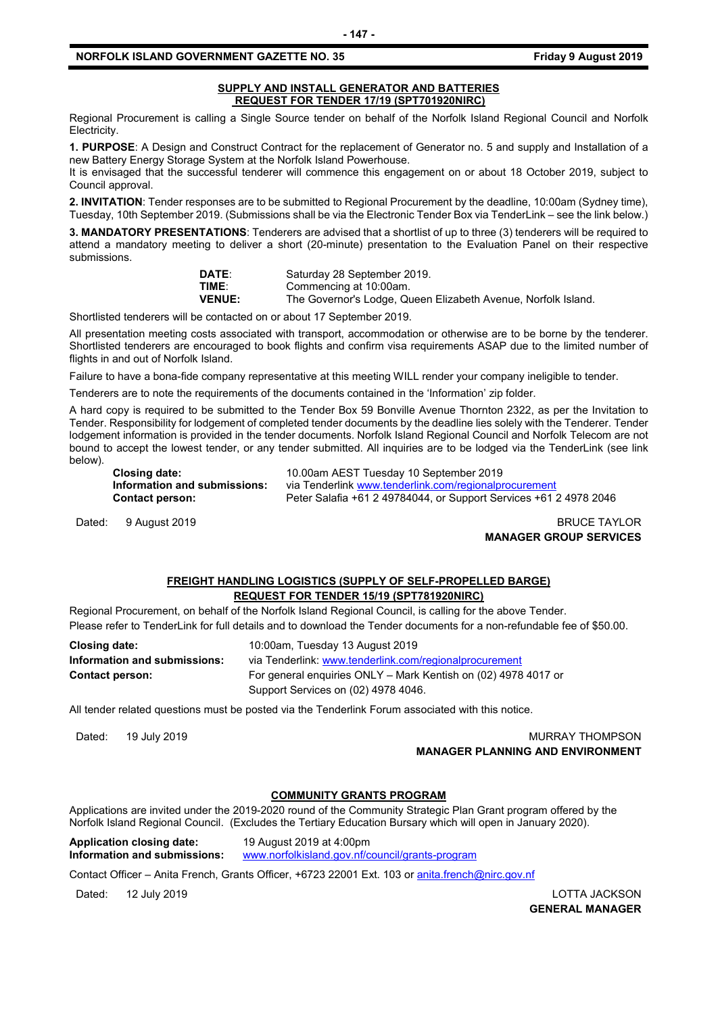#### **SUPPLY AND INSTALL GENERATOR AND BATTERIES REQUEST FOR TENDER 17/19 (SPT701920NIRC)**

Regional Procurement is calling a Single Source tender on behalf of the Norfolk Island Regional Council and Norfolk Electricity.

**1. PURPOSE**: A Design and Construct Contract for the replacement of Generator no. 5 and supply and Installation of a new Battery Energy Storage System at the Norfolk Island Powerhouse.

It is envisaged that the successful tenderer will commence this engagement on or about 18 October 2019, subject to Council approval.

**2. INVITATION**: Tender responses are to be submitted to Regional Procurement by the deadline, 10:00am (Sydney time), Tuesday, 10th September 2019. (Submissions shall be via the Electronic Tender Box via TenderLink – see the link below.)

**3. MANDATORY PRESENTATIONS**: Tenderers are advised that a shortlist of up to three (3) tenderers will be required to attend a mandatory meeting to deliver a short (20-minute) presentation to the Evaluation Panel on their respective submissions.

| DATE:         | Saturday 28 September 2019.                                   |  |
|---------------|---------------------------------------------------------------|--|
| TIME:         | Commencing at 10:00am.                                        |  |
| <b>VENUE:</b> | The Governor's Lodge, Queen Elizabeth Avenue, Norfolk Island. |  |

Shortlisted tenderers will be contacted on or about 17 September 2019.

All presentation meeting costs associated with transport, accommodation or otherwise are to be borne by the tenderer. Shortlisted tenderers are encouraged to book flights and confirm visa requirements ASAP due to the limited number of flights in and out of Norfolk Island.

Failure to have a bona-fide company representative at this meeting WILL render your company ineligible to tender.

Tenderers are to note the requirements of the documents contained in the 'Information' zip folder.

A hard copy is required to be submitted to the Tender Box 59 Bonville Avenue Thornton 2322, as per the Invitation to Tender. Responsibility for lodgement of completed tender documents by the deadline lies solely with the Tenderer. Tender lodgement information is provided in the tender documents. Norfolk Island Regional Council and Norfolk Telecom are not bound to accept the lowest tender, or any tender submitted. All inquiries are to be lodged via the TenderLink (see link below).

**Closing date:** 10.00am AEST Tuesday 10 September 2019 **Information and submissions:** via Tenderlink [www.tenderlink.com/regionalprocurement](http://www.tenderlink.com/regionalprocurement)<br>Contact person: Peter Salafia +61 2 49784044, or Support Services +61 2 **Contact person:** Peter Salafia +61 2 49784044, or Support Services +61 2 4978 2046

Dated: 9 August 2019 **BRUCE TAYLOR** 

# **MANAGER GROUP SERVICES**

## **FREIGHT HANDLING LOGISTICS (SUPPLY OF SELF-PROPELLED BARGE) REQUEST FOR TENDER 15/19 (SPT781920NIRC)**

Regional Procurement, on behalf of the Norfolk Island Regional Council, is calling for the above Tender. Please refer to TenderLink for full details and to download the Tender documents for a non-refundable fee of \$50.00.

| <b>Closing date:</b>         | 10:00am, Tuesday 13 August 2019                                |  |
|------------------------------|----------------------------------------------------------------|--|
| Information and submissions: | via Tenderlink: www.tenderlink.com/regionalprocurement         |  |
| <b>Contact person:</b>       | For general enguiries ONLY – Mark Kentish on (02) 4978 4017 or |  |
|                              | Support Services on (02) 4978 4046.                            |  |

All tender related questions must be posted via the Tenderlink Forum associated with this notice.

Dated: 19 July 2019 **MURRAY THOMPSON MANAGER PLANNING AND ENVIRONMENT**

# **COMMUNITY GRANTS PROGRAM**

Applications are invited under the 2019-2020 round of the Community Strategic Plan Grant program offered by the Norfolk Island Regional Council. (Excludes the Tertiary Education Bursary which will open in January 2020).

**Application closing date:** 19 August 2019 at 4:00pm **Information and submissions:** [www.norfolkisland.gov.nf/council/grants-program](http://www.norfolkisland.gov.nf/council/grants-program)

Contact Officer - Anita French, Grants Officer, +6723 22001 Ext. 103 or [anita.french@nirc.gov.nf](mailto:anita.french@nirc.gov.nf)

Dated: 12 July 2019 LOTTA JACKSON

**GENERAL MANAGER**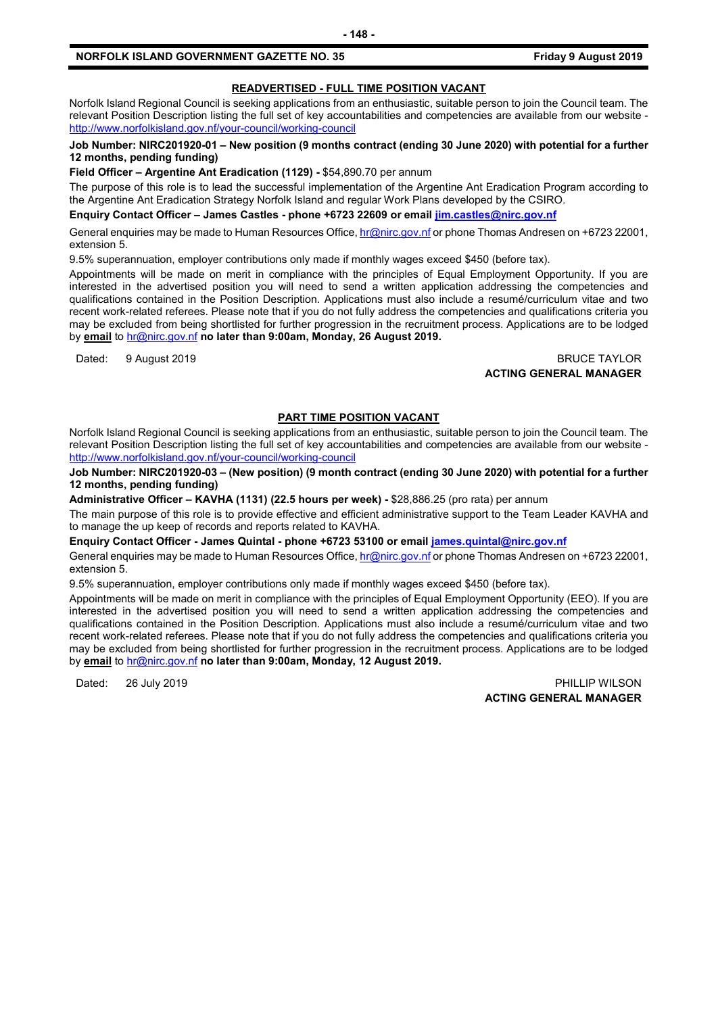#### **READVERTISED - FULL TIME POSITION VACANT**

Norfolk Island Regional Council is seeking applications from an enthusiastic, suitable person to join the Council team. The relevant Position Description listing the full set of key accountabilities and competencies are available from our website <http://www.norfolkisland.gov.nf/your-council/working-council>

#### **Job Number: NIRC201920-01 – New position (9 months contract (ending 30 June 2020) with potential for a further 12 months, pending funding)**

**Field Officer – Argentine Ant Eradication (1129) -** \$54,890.70 per annum

The purpose of this role is to lead the successful implementation of the Argentine Ant Eradication Program according to the Argentine Ant Eradication Strategy Norfolk Island and regular Work Plans developed by the CSIRO.

**Enquiry Contact Officer – James Castles - phone +6723 22609 or email [jim.castles@nirc.gov.nf](mailto:jim.castles@nirc.gov.nf)**

General enquiries may be made to Human Resources Office[, hr@nirc.gov.nf](mailto:hr@nirc.gov.nf) or phone Thomas Andresen on +6723 22001, extension 5.

9.5% superannuation, employer contributions only made if monthly wages exceed \$450 (before tax).

Appointments will be made on merit in compliance with the principles of Equal Employment Opportunity. If you are interested in the advertised position you will need to send a written application addressing the competencies and qualifications contained in the Position Description. Applications must also include a resumé/curriculum vitae and two recent work-related referees. Please note that if you do not fully address the competencies and qualifications criteria you may be excluded from being shortlisted for further progression in the recruitment process. Applications are to be lodged by **email** to [hr@nirc.gov.nf](mailto:hr@nirc.gov.nf) **no later than 9:00am, Monday, 26 August 2019.** 

#### Dated: 9 August 2019 BRUCE TAYLOR **ACTING GENERAL MANAGER**

#### **PART TIME POSITION VACANT**

Norfolk Island Regional Council is seeking applications from an enthusiastic, suitable person to join the Council team. The relevant Position Description listing the full set of key accountabilities and competencies are available from our website <http://www.norfolkisland.gov.nf/your-council/working-council>

**Job Number: NIRC201920-03 – (New position) (9 month contract (ending 30 June 2020) with potential for a further 12 months, pending funding)**

**Administrative Officer – KAVHA (1131) (22.5 hours per week) -** \$28,886.25 (pro rata) per annum

The main purpose of this role is to provide effective and efficient administrative support to the Team Leader KAVHA and to manage the up keep of records and reports related to KAVHA.

**Enquiry Contact Officer - James Quintal - phone +6723 53100 or email [james.quintal@nirc.gov.nf](mailto:james.quintal@nirc.gov.nf)**

General enquiries may be made to Human Resources Office[, hr@nirc.gov.nf](mailto:hr@nirc.gov.nf) or phone Thomas Andresen on +6723 22001, extension 5.

9.5% superannuation, employer contributions only made if monthly wages exceed \$450 (before tax).

Appointments will be made on merit in compliance with the principles of Equal Employment Opportunity (EEO). If you are interested in the advertised position you will need to send a written application addressing the competencies and qualifications contained in the Position Description. Applications must also include a resumé/curriculum vitae and two recent work-related referees. Please note that if you do not fully address the competencies and qualifications criteria you may be excluded from being shortlisted for further progression in the recruitment process. Applications are to be lodged by **email** to [hr@nirc.gov.nf](mailto:hr@nirc.gov.nf) **no later than 9:00am, Monday, 12 August 2019.** 

Dated: 26 July 2019 **PHILLIP WILSON ACTING GENERAL MANAGER**